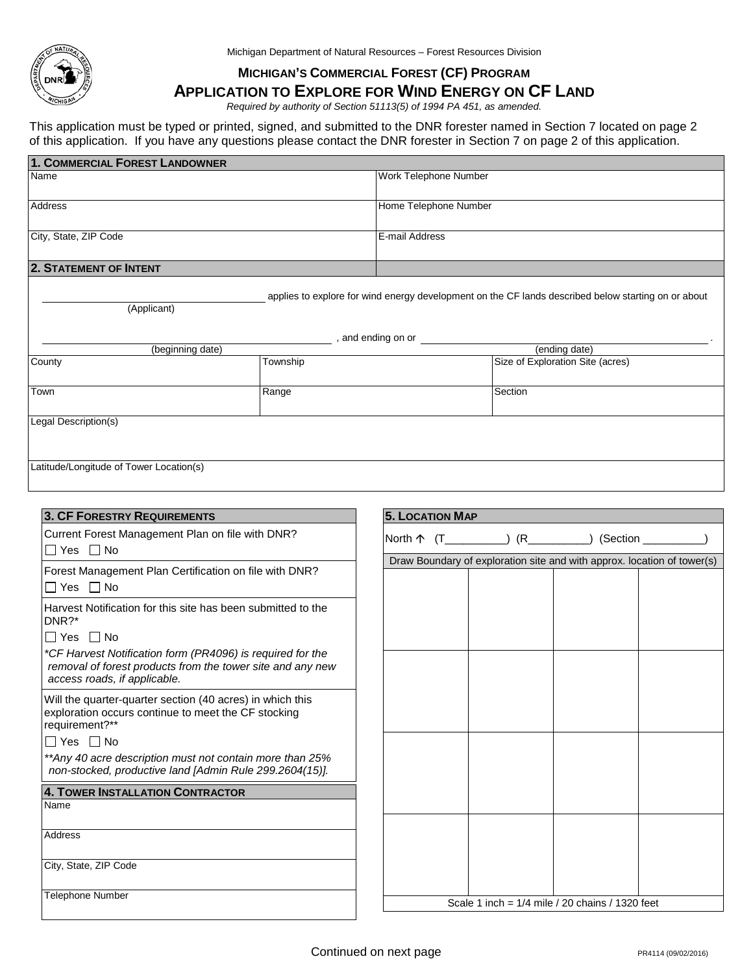

Michigan Department of Natural Resources – Forest Resources Division

## **MICHIGAN'S COMMERCIAL FOREST (CF) PROGRAM**

## **APPLICATION TO EXPLORE FOR WIND ENERGY ON CF LAND**

*Required by authority of Section 51113(5) of 1994 PA 451, as amended.*

This application must be typed or printed, signed, and submitted to the DNR forester named in Section 7 located on page 2 of this application. If you have any questions please contact the DNR forester in Section 7 on page 2 of this application.

| 1. COMMERCIAL FOREST LANDOWNER                                                                                                                                                |          |                       |                                  |  |  |  |
|-------------------------------------------------------------------------------------------------------------------------------------------------------------------------------|----------|-----------------------|----------------------------------|--|--|--|
| Name                                                                                                                                                                          |          | Work Telephone Number |                                  |  |  |  |
| Address                                                                                                                                                                       |          | Home Telephone Number |                                  |  |  |  |
| City, State, ZIP Code                                                                                                                                                         |          | E-mail Address        |                                  |  |  |  |
| <b>2. STATEMENT OF INTENT</b>                                                                                                                                                 |          |                       |                                  |  |  |  |
| applies to explore for wind energy development on the CF lands described below starting on or about<br>(Applicant)<br>, and ending on or<br>(beginning date)<br>(ending date) |          |                       |                                  |  |  |  |
| County                                                                                                                                                                        | Township |                       | Size of Exploration Site (acres) |  |  |  |
| Town                                                                                                                                                                          | Range    |                       | Section                          |  |  |  |
| Legal Description(s)                                                                                                                                                          |          |                       |                                  |  |  |  |
| Latitude/Longitude of Tower Location(s)                                                                                                                                       |          |                       |                                  |  |  |  |

| <b>3. CF FORESTRY REQUIREMENTS</b>                                                                                                                       | <b>5. LOCATION MAP</b> |    |                                                                         |            |
|----------------------------------------------------------------------------------------------------------------------------------------------------------|------------------------|----|-------------------------------------------------------------------------|------------|
| Current Forest Management Plan on file with DNR?<br>∏Yes ∏No                                                                                             | North $\uparrow$ (T    | (R |                                                                         | ) (Section |
| Forest Management Plan Certification on file with DNR?<br>$\Box$ Yes $\Box$ No                                                                           |                        |    | Draw Boundary of exploration site and with approx. location of tower(s) |            |
| Harvest Notification for this site has been submitted to the<br>DNR?*<br>$\Box$ Yes $\Box$ No                                                            |                        |    |                                                                         |            |
| *CF Harvest Notification form (PR4096) is required for the<br>removal of forest products from the tower site and any new<br>access roads, if applicable. |                        |    |                                                                         |            |
| Will the quarter-quarter section (40 acres) in which this<br>exploration occurs continue to meet the CF stocking<br>requirement?**                       |                        |    |                                                                         |            |
| $\Box$ Yes $\Box$ No<br>**Any 40 acre description must not contain more than 25%<br>non-stocked, productive land [Admin Rule 299.2604(15)].              |                        |    |                                                                         |            |
| 4. TOWER INSTALLATION CONTRACTOR<br>Name                                                                                                                 |                        |    |                                                                         |            |
| <b>Address</b>                                                                                                                                           |                        |    |                                                                         |            |
| City, State, ZIP Code                                                                                                                                    |                        |    |                                                                         |            |
| <b>Telephone Number</b>                                                                                                                                  |                        |    | Scale 1 inch = $1/4$ mile / 20 chains / 1320 feet                       |            |